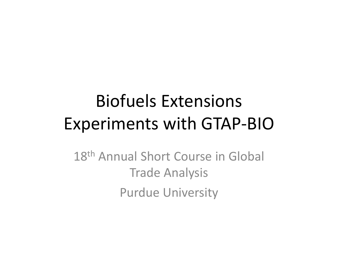## Biofuels ExtensionsExperiments with GTAP ‐BIO

18<sup>th</sup> Annual Short Course in Global Trade Analysis Purdue University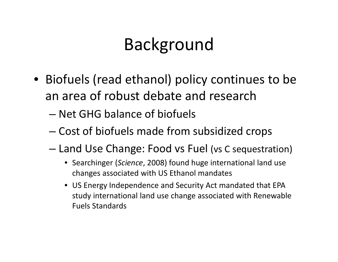## Background

- Biofuels (read ethanol) policy continues to be an area of robust debate and research
	- Net GHG balance of biofuels
	- Cost of biofuels made from subsidized crops
	- – Land Use Change: Food vs Fuel (vs <sup>C</sup> sequestration)
		- Searchinger (*Science*, 2008) found huge international land use changes associated with US Ethanol mandates
		- US Energy Independence and Security Act mandated that EPA study international land use change associated with Renewable Fuels Standards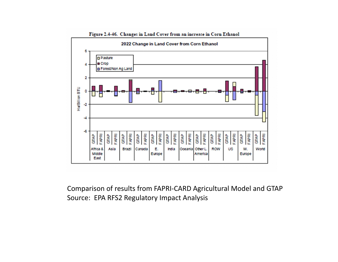

Comparison of results from FAPRI‐CARD Agricultural Model and GTAP Source: EPA RFS2 Regulatory Impact Analysis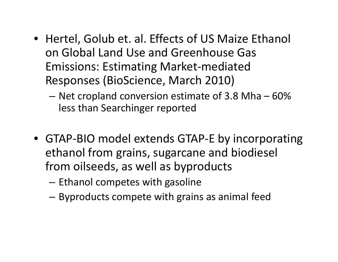- Hertel, Golub et. al. Effects of US Maize Ethanol on Global Land Use and Greenhouse Gas Emissions: Estimating Market‐mediated Responses (BioScience, March 2010)
	- – $-$  Net cropland conversion estimate of 3.8 Mha  $-$  60%  $\,$ less than Searchinger reported
- GTAP‐BIO model extends GTAP‐E by incorporating ethanol from grains, sugarcane and biodiesel from oilseeds, as well as byproducts
	- – $-$  Ethanol competes with gasoline
	- –Byproducts compete with grains as animal feed